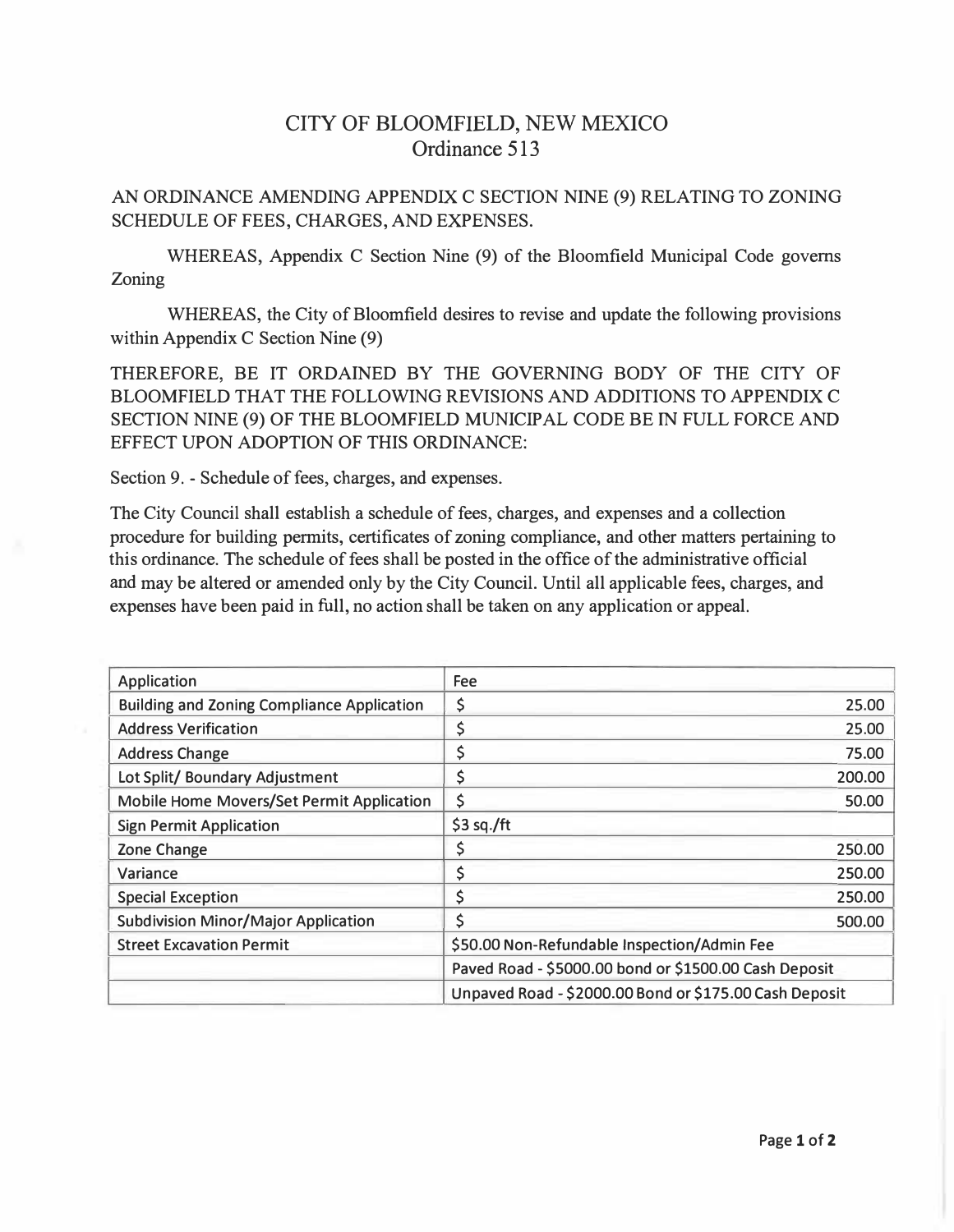## CITY OF BLOOMFIELD, NEW MEXICO Ordinance 513

## AN ORDINANCE AMENDING APPENDIX C SECTION NINE (9) RELATING TO ZONING SCHEDULE OF FEES, CHARGES, AND EXPENSES.

WHEREAS, Appendix C Section Nine (9) of the Bloomfield Municipal Code governs Zoning

WHEREAS, the City of Bloomfield desires to revise and update the following provisions within Appendix C Section Nine (9)

THEREFORE, BE IT ORDAINED BY THE GOVERNING BODY OF THE CITY OF BLOOMFIELD THAT THE FOLLOWING REVISIONS AND ADDITIONS TO APPENDIX C SECTION NINE (9) OF THE BLOOMFIELD MUNICIPAL CODE BE IN FULL FORCE AND EFFECT UPON ADOPTION OF THIS ORDINANCE:

Section 9. - Schedule of fees, charges, and expenses.

The City Council shall establish a schedule of fees, charges, and expenses and a collection procedure for building permits, certificates of zoning compliance, and other matters pertaining to this ordinance. The schedule of fees shall be posted in the office of the administrative official and may be altered or amended only by the City Council. Until all applicable fees, charges, and expenses have been paid in full, no action shall be taken on any application or appeal.

| Application                                       | <b>Fee</b>                                             |
|---------------------------------------------------|--------------------------------------------------------|
| <b>Building and Zoning Compliance Application</b> | \$<br>25.00                                            |
| <b>Address Verification</b>                       | 25.00                                                  |
| <b>Address Change</b>                             | 75.00                                                  |
| Lot Split/ Boundary Adjustment                    | 200.00                                                 |
| Mobile Home Movers/Set Permit Application         | \$<br>50.00                                            |
| <b>Sign Permit Application</b>                    | \$3 sq./ft                                             |
| Zone Change                                       | Ş<br>250.00                                            |
| Variance                                          | 250.00                                                 |
| <b>Special Exception</b>                          | 250.00                                                 |
| <b>Subdivision Minor/Major Application</b>        | 500.00                                                 |
| <b>Street Excavation Permit</b>                   | \$50.00 Non-Refundable Inspection/Admin Fee            |
|                                                   | Paved Road - \$5000.00 bond or \$1500.00 Cash Deposit  |
|                                                   | Unpaved Road - \$2000.00 Bond or \$175.00 Cash Deposit |